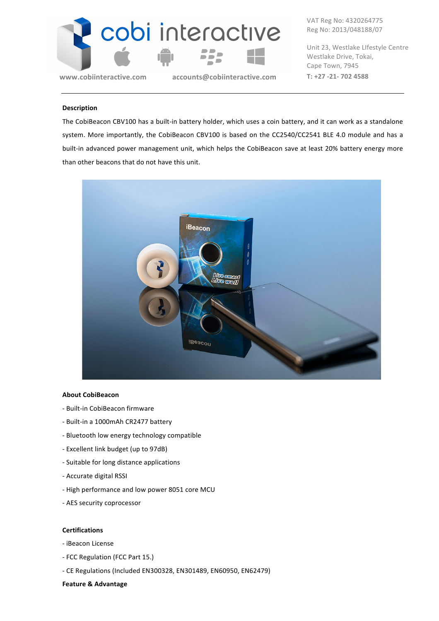

**www.cobiinteractive.com** accounts@cobiinteractive.com T: +27 -21- 702 4588

VAT Reg No: 4320264775 Reg No: 2013/048188/07

Unit 23, Westlake Lifestyle Centre Westlake Drive, Tokai, Cape Town, 7945

#### **Description**

The CobiBeacon CBV100 has a built-in battery holder, which uses a coin battery, and it can work as a standalone system. More importantly, the CobiBeacon CBV100 is based on the CC2540/CC2541 BLE 4.0 module and has a built-in advanced power management unit, which helps the CobiBeacon save at least 20% battery energy more than other beacons that do not have this unit.



#### **About CobiBeacon**

- Built-in CobiBeacon firmware
- Built-in a 1000mAh CR2477 battery
- Bluetooth low energy technology compatible
- Excellent link budget (up to 97dB)
- Suitable for long distance applications
- Accurate digital RSSI
- High performance and low power 8051 core MCU
- AES security coprocessor

#### **Certifications**

- iBeacon License
- FCC Regulation (FCC Part 15.)
- CE Regulations (Included EN300328, EN301489, EN60950, EN62479)

## **Feature & Advantage**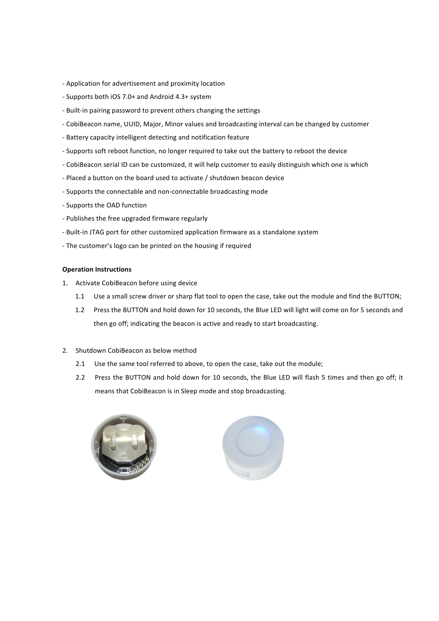- Application for advertisement and proximity location
- Supports both iOS 7.0+ and Android 4.3+ system
- Built-in pairing password to prevent others changing the settings
- CobiBeacon name, UUID, Major, Minor values and broadcasting interval can be changed by customer
- Battery capacity intelligent detecting and notification feature
- Supports soft reboot function, no longer required to take out the battery to reboot the device
- CobiBeacon serial ID can be customized, it will help customer to easily distinguish which one is which
- Placed a button on the board used to activate / shutdown beacon device
- Supports the connectable and non-connectable broadcasting mode
- Supports the OAD function
- Publishes the free upgraded firmware regularly
- Built-in JTAG port for other customized application firmware as a standalone system
- The customer's logo can be printed on the housing if required

#### **Operation Instructions**

- 1. Activate CobiBeacon before using device
	- 1.1 Use a small screw driver or sharp flat tool to open the case, take out the module and find the BUTTON;
	- 1.2 Press the BUTTON and hold down for 10 seconds, the Blue LED will light will come on for 5 seconds and then go off; indicating the beacon is active and ready to start broadcasting.
- 2. Shutdown CobiBeacon as below method
	- 2.1 Use the same tool referred to above, to open the case, take out the module;
	- 2.2 Press the BUTTON and hold down for 10 seconds, the Blue LED will flash 5 times and then go off; it means that CobiBeacon is in Sleep mode and stop broadcasting.



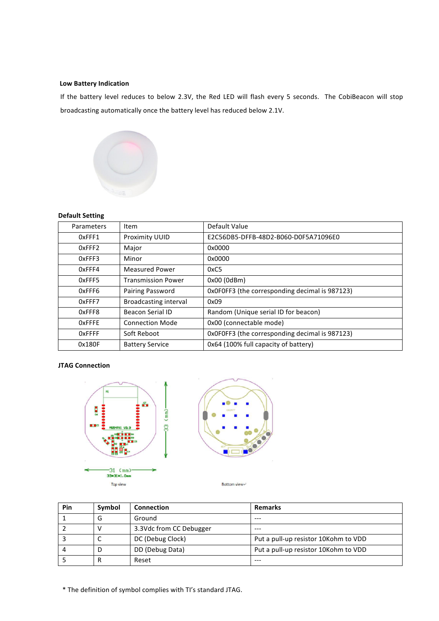#### **Low Battery Indication**

If the battery level reduces to below 2.3V, the Red LED will flash every 5 seconds. The CobiBeacon will stop broadcasting automatically once the battery level has reduced below 2.1V.



## **Default Setting**

| Parameters    | <b>Item</b>               | Default Value                                  |
|---------------|---------------------------|------------------------------------------------|
| 0xFFF1        | Proximity UUID            | E2C56DB5-DFFB-48D2-B060-D0F5A71096E0           |
| 0xFFF2        | Major                     | 0x0000                                         |
| 0xFFF3        | Minor                     | 0x0000                                         |
| 0xFFF4        | <b>Measured Power</b>     | 0xC5                                           |
| 0xFFF5        | <b>Transmission Power</b> | 0x00(0dBm)                                     |
| 0xFFF6        | Pairing Password          | OxOFOFF3 (the corresponding decimal is 987123) |
| 0xFFF7        | Broadcasting interval     | 0x09                                           |
| 0xFFF8        | <b>Beacon Serial ID</b>   | Random (Unique serial ID for beacon)           |
| <b>OxFFFE</b> | <b>Connection Mode</b>    | 0x00 (connectable mode)                        |
| <b>OxFFFF</b> | Soft Reboot               | OxOFOFF3 (the corresponding decimal is 987123) |
| 0x180F        | <b>Battery Service</b>    | 0x64 (100% full capacity of battery)           |

## **JTAG Connection**





**Pin Symbol Connection Remarks** 1 G Ground --- $2$  V 3.3Vdc from CC Debugger  $\vert$  ---3 C DC (Debug Clock) Put a pull-up resistor 10Kohm to VDD 4 D DD (Debug Data) Put a pull-up resistor 10Kohm to VDD 5 R Reset ---

\* The definition of symbol complies with TI's standard JTAG.